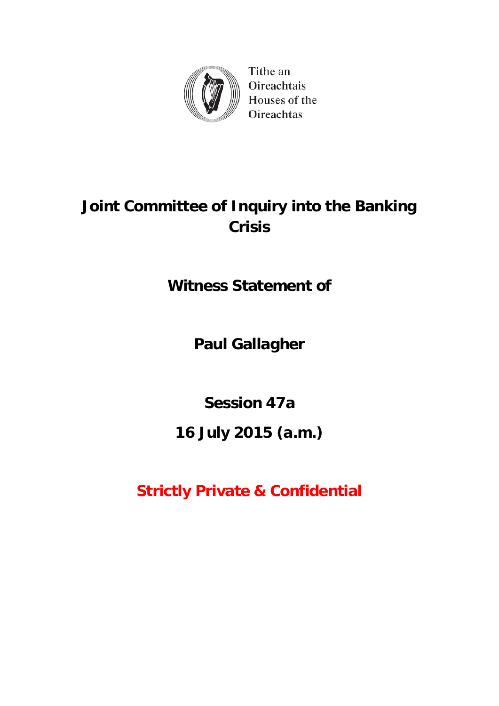

Tithe an Oireachtais Houses of the **Oireachtas** 

# **Joint Committee of Inquiry into the Banking Crisis**

**Witness Statement of**

**Paul Gallagher**

**Session 47a**

# **16 July 2015 (a.m.)**

**Strictly Private & Confidential**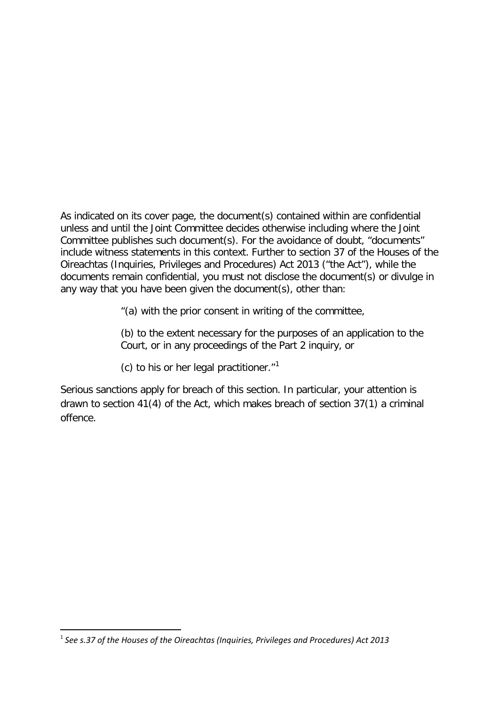As indicated on its cover page, the document(s) contained within are confidential unless and until the Joint Committee decides otherwise including where the Joint Committee publishes such document(s). For the avoidance of doubt, "documents" include witness statements in this context. Further to section 37 of the Houses of the Oireachtas (Inquiries, Privileges and Procedures) Act 2013 ("the Act"), while the documents remain confidential, you must not disclose the document(s) or divulge in any way that you have been given the document(s), other than:

"(a) with the prior consent in writing of the committee,

(b) to the extent necessary for the purposes of an application to the Court, or in any proceedings of the Part 2 inquiry, or

(c) to his or her legal practitioner. $1$ <sup>1</sup>

Serious sanctions apply for breach of this section. In particular, your attention is drawn to section 41(4) of the Act, which makes breach of section 37(1) a criminal offence.

**.** 

<span id="page-1-0"></span><sup>1</sup> *See s.37 of the Houses of the Oireachtas (Inquiries, Privileges and Procedures) Act 2013*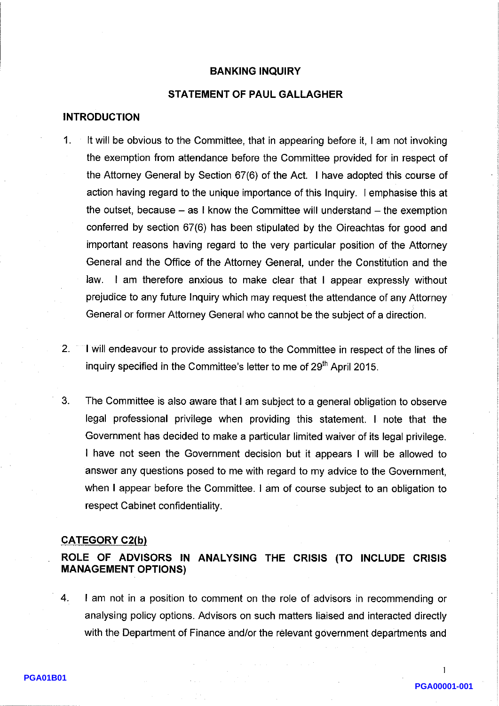## **BANKING INQUIRY**

# **STATEMENT OF PAUL GALLAGHER**

# **INTRODUCTION**

- $\mathbf{1}$ . It will be obvious to the Committee, that in appearing before it, I am not invoking the exemption from attendance before the Committee provided for in respect of the Attorney General by Section 67(6) of the Act. I have adopted this course of action having regard to the unique importance of this Inquiry. I emphasise this at the outset, because  $-$  as I know the Committee will understand  $-$  the exemption conferred by section 67(6) has been stipulated by the Oireachtas for good and important reasons having regard to the very particular position of the Attorney General and the Office of the Attorney General, under the Constitution and the law. I am therefore anxious to make clear that I appear expressly without prejudice to any future Inquiry which may request the attendance of any Attorney General or former Attorney General who cannot be the subject of a direction.
- $2.$ I will endeavour to provide assistance to the Committee in respect of the lines of inquiry specified in the Committee's letter to me of 29<sup>th</sup> April 2015.
- 3. The Committee is also aware that I am subject to a general obligation to observe legal professional privilege when providing this statement. I note that the Government has decided to make a particular limited waiver of its legal privilege. I have not seen the Government decision but it appears I will be allowed to answer any questions posed to me with regard to my advice to the Government. when I appear before the Committee. I am of course subject to an obligation to respect Cabinet confidentiality.

#### **CATEGORY C2(b)**

# ROLE OF ADVISORS IN ANALYSING THE CRISIS (TO INCLUDE CRISIS **MANAGEMENT OPTIONS)**

 $4.$ I am not in a position to comment on the role of advisors in recommending or analysing policy options. Advisors on such matters liaised and interacted directly with the Department of Finance and/or the relevant government departments and

 $\mathbf{1}$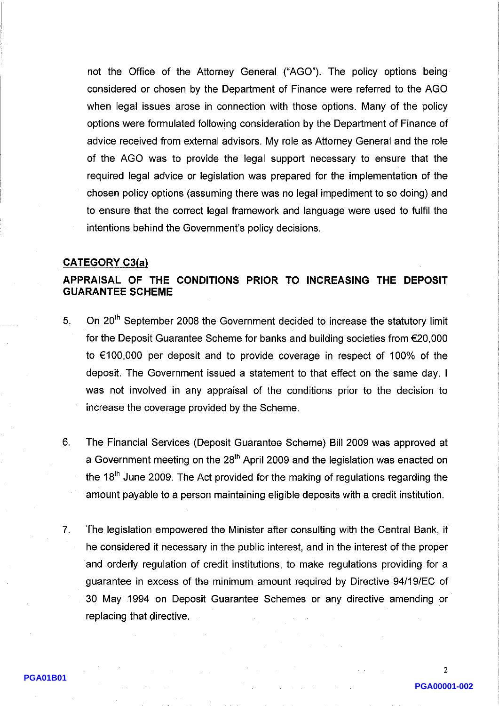not the Office of the Attorney General ("AGO"). The policy options being considered or chosen by the Department of Finance were referred to the AGO when legal issues arose in connection with those options. Many of the policy options were formulated following consideration by the Department of Finance of advice received from external advisors. My role as Attorney General and the role of the AGO was to provide the legal support necessary to ensure that the required legal advice or legislation was prepared for the implementation of the chosen policy options (assuming there was no legal impediment to so doing) and to ensure that the correct legal framework and language were used to fulfil the intentions behind the Government's policy decisions.

#### **CATEGORY C3(a)**

# APPRAISAL OF THE CONDITIONS PRIOR TO INCREASING THE DEPOSIT **GUARANTEE SCHEME**

- On 20<sup>th</sup> September 2008 the Government decided to increase the statutory limit 5. for the Deposit Guarantee Scheme for banks and building societies from  $\epsilon$ 20,000 to  $\epsilon$ 100,000 per deposit and to provide coverage in respect of 100% of the deposit. The Government issued a statement to that effect on the same day. I was not involved in any appraisal of the conditions prior to the decision to increase the coverage provided by the Scheme.
- 6. The Financial Services (Deposit Guarantee Scheme) Bill 2009 was approved at a Government meeting on the 28<sup>th</sup> April 2009 and the legislation was enacted on the  $18<sup>th</sup>$  June 2009. The Act provided for the making of regulations regarding the amount payable to a person maintaining eligible deposits with a credit institution.
- $7<sub>1</sub>$ The legislation empowered the Minister after consulting with the Central Bank, if he considered it necessary in the public interest, and in the interest of the proper and orderly regulation of credit institutions, to make regulations providing for a guarantee in excess of the minimum amount required by Directive 94/19/EC of 30 May 1994 on Deposit Guarantee Schemes or any directive amending or replacing that directive.

 $\overline{2}$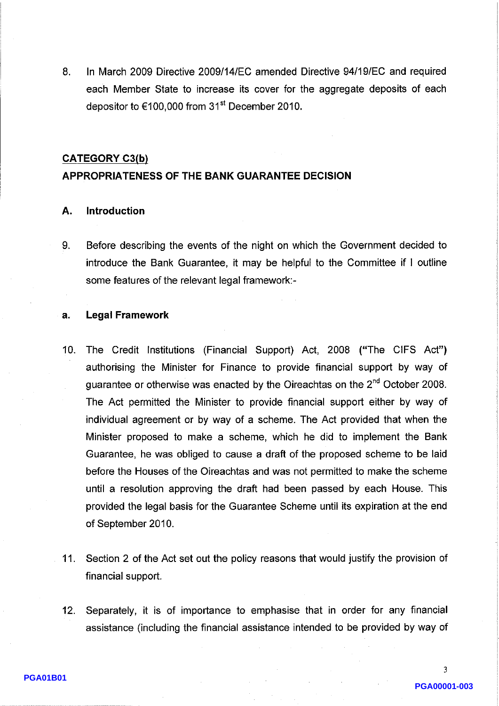8. In March 2009 Directive 2009/14/EC amended Directive 94/19/EC and required each Member State to increase its cover for the aggregate deposits of each depositor to €100,000 from 31<sup>st</sup> December 2010.

# **CATEGORY C3(b)**

# APPROPRIATENESS OF THE BANK GUARANTEE DECISION

#### Introduction А.

Before describing the events of the night on which the Government decided to 9. introduce the Bank Guarantee, it may be helpful to the Committee if I outline some features of the relevant legal framework:-

#### **Legal Framework** a.

- $10.$ The Credit Institutions (Financial Support) Act, 2008 ("The CIFS Act") authorising the Minister for Finance to provide financial support by way of guarantee or otherwise was enacted by the Oireachtas on the 2<sup>nd</sup> October 2008. The Act permitted the Minister to provide financial support either by way of individual agreement or by way of a scheme. The Act provided that when the Minister proposed to make a scheme, which he did to implement the Bank Guarantee, he was obliged to cause a draft of the proposed scheme to be laid before the Houses of the Oireachtas and was not permitted to make the scheme until a resolution approving the draft had been passed by each House. This provided the legal basis for the Guarantee Scheme until its expiration at the end of September 2010.
- $11<sub>1</sub>$ Section 2 of the Act set out the policy reasons that would justify the provision of financial support.
- Separately, it is of importance to emphasise that in order for any financial  $12<sub>1</sub>$ assistance (including the financial assistance intended to be provided by way of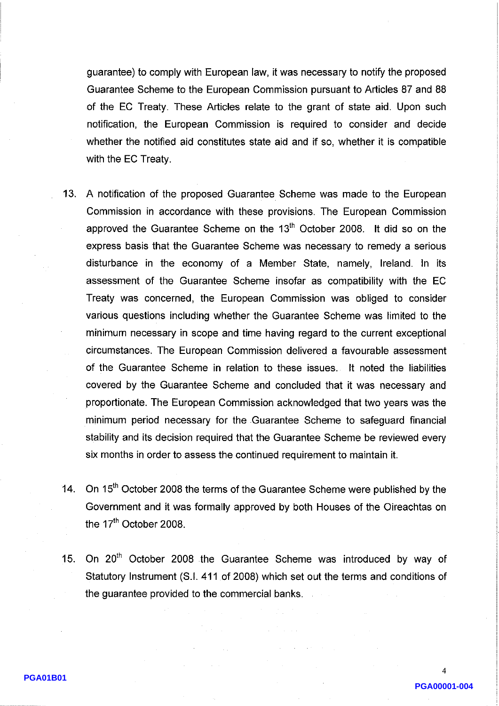guarantee) to comply with European law, it was necessary to notify the proposed Guarantee Scheme to the European Commission pursuant to Articles 87 and 88 of the EC Treaty. These Articles relate to the grant of state aid. Upon such notification, the European Commission is required to consider and decide whether the notified aid constitutes state aid and if so, whether it is compatible with the EC Treaty.

- 13. A notification of the proposed Guarantee Scheme was made to the European Commission in accordance with these provisions. The European Commission approved the Guarantee Scheme on the 13<sup>th</sup> October 2008. It did so on the express basis that the Guarantee Scheme was necessary to remedy a serious disturbance in the economy of a Member State, namely, Ireland. In its assessment of the Guarantee Scheme insofar as compatibility with the EC Treaty was concerned, the European Commission was obliged to consider various questions including whether the Guarantee Scheme was limited to the minimum necessary in scope and time having regard to the current exceptional circumstances. The European Commission delivered a favourable assessment of the Guarantee Scheme in relation to these issues. It noted the liabilities covered by the Guarantee Scheme and concluded that it was necessary and proportionate. The European Commission acknowledged that two years was the minimum period necessary for the Guarantee Scheme to safeguard financial stability and its decision required that the Guarantee Scheme be reviewed every six months in order to assess the continued requirement to maintain it.
- 14. On 15<sup>th</sup> October 2008 the terms of the Guarantee Scheme were published by the Government and it was formally approved by both Houses of the Oireachtas on the 17<sup>th</sup> October 2008.
- 15. On 20<sup>th</sup> October 2008 the Guarantee Scheme was introduced by way of Statutory Instrument (S.I. 411 of 2008) which set out the terms and conditions of the guarantee provided to the commercial banks.

PGA00001-004

 $\boldsymbol{\Delta}$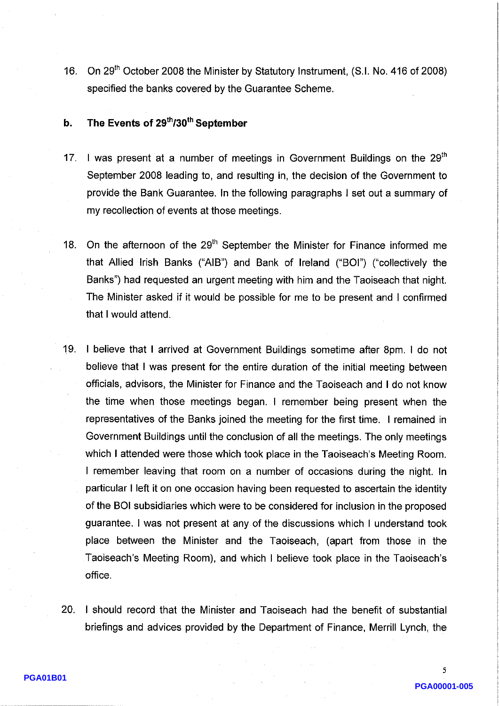On 29<sup>th</sup> October 2008 the Minister by Statutory Instrument, (S.I. No. 416 of 2008)  $16.$ specified the banks covered by the Guarantee Scheme.

#### The Events of 29th/30th September  $\mathbf b$ .

- I was present at a number of meetings in Government Buildings on the 29<sup>th</sup>  $17<sub>1</sub>$ September 2008 leading to, and resulting in, the decision of the Government to provide the Bank Guarantee. In the following paragraphs I set out a summary of my recollection of events at those meetings.
- On the afternoon of the 29<sup>th</sup> September the Minister for Finance informed me 18. that Allied Irish Banks ("AIB") and Bank of Ireland ("BOI") ("collectively the Banks") had requested an urgent meeting with him and the Taoiseach that night. The Minister asked if it would be possible for me to be present and I confirmed that I would attend.
- 19. I believe that I arrived at Government Buildings sometime after 8pm. I do not believe that I was present for the entire duration of the initial meeting between officials, advisors, the Minister for Finance and the Taoiseach and I do not know the time when those meetings began. I remember being present when the representatives of the Banks joined the meeting for the first time. I remained in Government Buildings until the conclusion of all the meetings. The only meetings which I attended were those which took place in the Taoiseach's Meeting Room. I remember leaving that room on a number of occasions during the night. In particular I left it on one occasion having been requested to ascertain the identity of the BOI subsidiaries which were to be considered for inclusion in the proposed guarantee. I was not present at any of the discussions which I understand took place between the Minister and the Taoiseach, (apart from those in the Taoiseach's Meeting Room), and which I believe took place in the Taoiseach's office.
- 20. I should record that the Minister and Taoiseach had the benefit of substantial briefings and advices provided by the Department of Finance, Merrill Lynch, the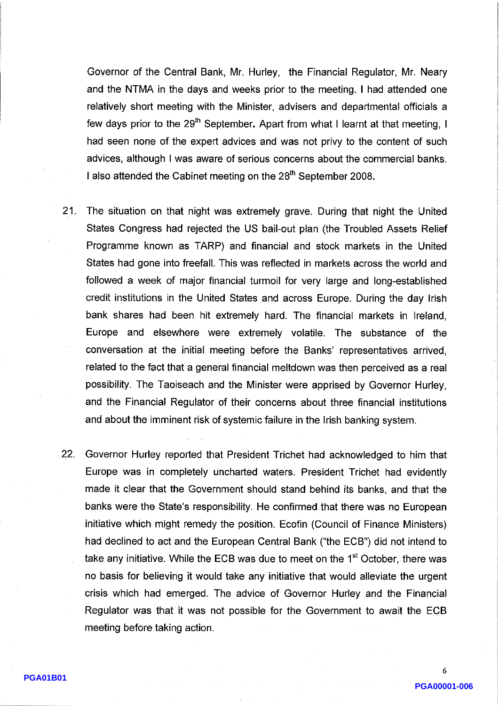Governor of the Central Bank, Mr. Hurley, the Financial Regulator, Mr. Neary and the NTMA in the days and weeks prior to the meeting. I had attended one relatively short meeting with the Minister, advisers and departmental officials a few days prior to the 29<sup>th</sup> September. Apart from what I learnt at that meeting, I had seen none of the expert advices and was not privy to the content of such advices, although I was aware of serious concerns about the commercial banks. I also attended the Cabinet meeting on the 28<sup>th</sup> September 2008.

- $21<sub>1</sub>$ The situation on that night was extremely grave. During that night the United States Congress had rejected the US bail-out plan (the Troubled Assets Relief Programme known as TARP) and financial and stock markets in the United States had gone into freefall. This was reflected in markets across the world and followed a week of major financial turmoil for very large and long-established credit institutions in the United States and across Europe. During the day Irish bank shares had been hit extremely hard. The financial markets in Ireland, Europe and elsewhere were extremely volatile. The substance of the conversation at the initial meeting before the Banks' representatives arrived, related to the fact that a general financial meltdown was then perceived as a real possibility. The Taoiseach and the Minister were apprised by Governor Hurley, and the Financial Regulator of their concerns about three financial institutions and about the imminent risk of systemic failure in the Irish banking system.
- $22.$ Governor Hurley reported that President Trichet had acknowledged to him that Europe was in completely uncharted waters. President Trichet had evidently made it clear that the Government should stand behind its banks, and that the banks were the State's responsibility. He confirmed that there was no European initiative which might remedy the position. Ecofin (Council of Finance Ministers) had declined to act and the European Central Bank ("the ECB") did not intend to take any initiative. While the ECB was due to meet on the 1<sup>st</sup> October, there was no basis for believing it would take any initiative that would alleviate the urgent crisis which had emerged. The advice of Governor Hurley and the Financial Regulator was that it was not possible for the Government to await the ECB meeting before taking action.

6 PGA00001-006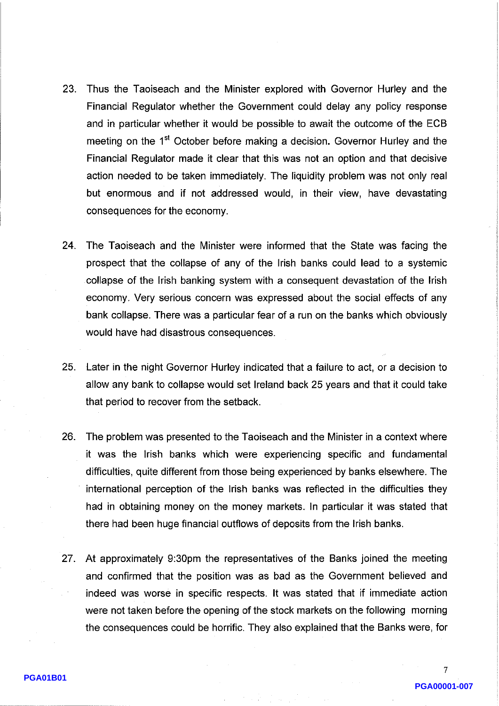- 23. Thus the Taoiseach and the Minister explored with Governor Hurley and the Financial Regulator whether the Government could delay any policy response and in particular whether it would be possible to await the outcome of the ECB meeting on the 1<sup>st</sup> October before making a decision. Governor Hurley and the Financial Regulator made it clear that this was not an option and that decisive action needed to be taken immediately. The liquidity problem was not only real but enormous and if not addressed would, in their view, have devastating consequences for the economy.
- 24. The Taoiseach and the Minister were informed that the State was facing the prospect that the collapse of any of the Irish banks could lead to a systemic collapse of the Irish banking system with a consequent devastation of the Irish economy. Very serious concern was expressed about the social effects of any bank collapse. There was a particular fear of a run on the banks which obviously would have had disastrous consequences.
- $25.$ Later in the night Governor Hurley indicated that a failure to act, or a decision to allow any bank to collapse would set Ireland back 25 years and that it could take that period to recover from the setback.
- 26. The problem was presented to the Taoiseach and the Minister in a context where it was the Irish banks which were experiencing specific and fundamental difficulties, quite different from those being experienced by banks elsewhere. The international perception of the Irish banks was reflected in the difficulties they had in obtaining money on the money markets. In particular it was stated that there had been huge financial outflows of deposits from the Irish banks.
- 27. At approximately 9:30pm the representatives of the Banks joined the meeting and confirmed that the position was as bad as the Government believed and indeed was worse in specific respects. It was stated that if immediate action were not taken before the opening of the stock markets on the following morning the consequences could be horrific. They also explained that the Banks were, for

7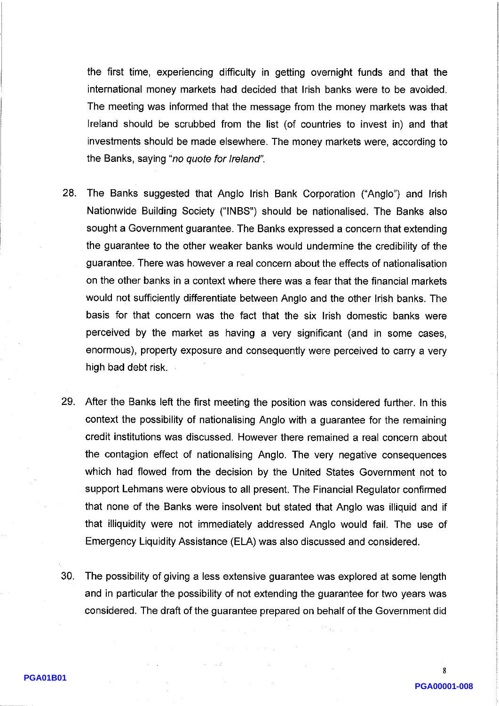the first time, experiencing difficulty in getting overnight funds and that the international money markets had decided that Irish banks were to be avoided. The meeting was informed that the message from the money markets was that Ireland should be scrubbed from the list (of countries to invest in) and that investments should be made elsewhere. The money markets were, according to the Banks, saying "no quote for Ireland".

- 28. The Banks suggested that Anglo Irish Bank Corporation ("Anglo") and Irish Nationwide Building Society ("INBS") should be nationalised. The Banks also sought a Government guarantee. The Banks expressed a concern that extending the guarantee to the other weaker banks would undermine the credibility of the guarantee. There was however a real concern about the effects of nationalisation on the other banks in a context where there was a fear that the financial markets would not sufficiently differentiate between Anglo and the other Irish banks. The basis for that concern was the fact that the six Irish domestic banks were perceived by the market as having a very significant (and in some cases, enormous), property exposure and consequently were perceived to carry a very high bad debt risk.
- 29. After the Banks left the first meeting the position was considered further. In this context the possibility of nationalising Anglo with a guarantee for the remaining credit institutions was discussed. However there remained a real concern about the contagion effect of nationalising Anglo. The very negative consequences which had flowed from the decision by the United States Government not to support Lehmans were obvious to all present. The Financial Regulator confirmed that none of the Banks were insolvent but stated that Anglo was illiquid and if that illiquidity were not immediately addressed Anglo would fail. The use of Emergency Liquidity Assistance (ELA) was also discussed and considered.
- The possibility of giving a less extensive guarantee was explored at some length 30. and in particular the possibility of not extending the guarantee for two years was considered. The draft of the guarantee prepared on behalf of the Government did

 $\mathbf{R}$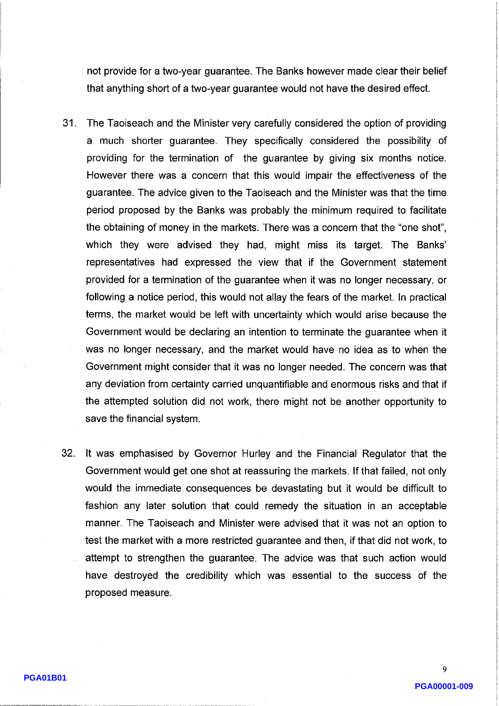not provide for a two-year guarantee. The Banks however made clear their belief that anything short of a two-year guarantee would not have the desired effect.

- $31.$ The Taoiseach and the Minister very carefully considered the option of providing a much shorter guarantee. They specifically considered the possibility of providing for the termination of the guarantee by giving six months notice. However there was a concern that this would impair the effectiveness of the guarantee. The advice given to the Taoiseach and the Minister was that the time period proposed by the Banks was probably the minimum required to facilitate the obtaining of money in the markets. There was a concern that the "one shot", which they were advised they had, might miss its target. The Banks' representatives had expressed the view that if the Government statement provided for a termination of the guarantee when it was no longer necessary, or following a notice period, this would not allay the fears of the market. In practical terms, the market would be left with uncertainty which would arise because the Government would be declaring an intention to terminate the guarantee when it was no longer necessary, and the market would have no idea as to when the Government might consider that it was no longer needed. The concern was that any deviation from certainty carried unquantifiable and enormous risks and that if the attempted solution did not work, there might not be another opportunity to save the financial system.
- 32. It was emphasised by Governor Hurley and the Financial Regulator that the Government would get one shot at reassuring the markets. If that failed, not only would the immediate consequences be devastating but it would be difficult to fashion any later solution that could remedy the situation in an acceptable manner. The Taoiseach and Minister were advised that it was not an option to test the market with a more restricted guarantee and then, if that did not work, to attempt to strengthen the guarantee. The advice was that such action would have destroyed the credibility which was essential to the success of the proposed measure.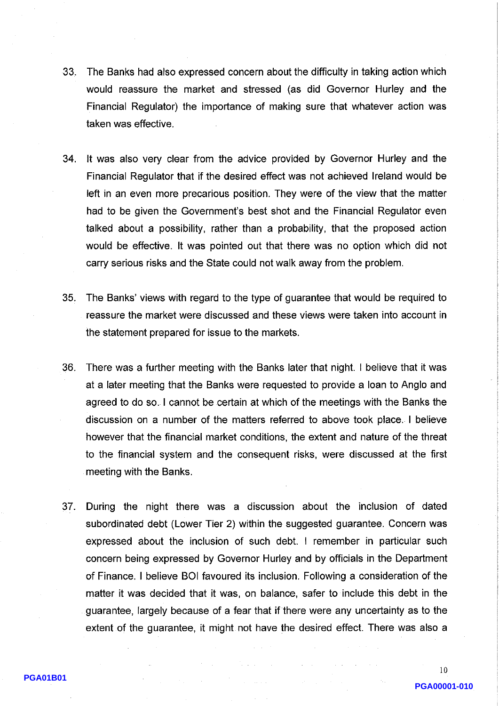- $33<sub>1</sub>$ The Banks had also expressed concern about the difficulty in taking action which would reassure the market and stressed (as did Governor Hurley and the Financial Regulator) the importance of making sure that whatever action was taken was effective.
- 34. It was also very clear from the advice provided by Governor Hurley and the Financial Regulator that if the desired effect was not achieved Ireland would be left in an even more precarious position. They were of the view that the matter had to be given the Government's best shot and the Financial Regulator even talked about a possibility, rather than a probability, that the proposed action would be effective. It was pointed out that there was no option which did not carry serious risks and the State could not walk away from the problem.
- 35. The Banks' views with regard to the type of guarantee that would be required to reassure the market were discussed and these views were taken into account in the statement prepared for issue to the markets.
- There was a further meeting with the Banks later that night. I believe that it was 36. at a later meeting that the Banks were requested to provide a loan to Anglo and agreed to do so. I cannot be certain at which of the meetings with the Banks the discussion on a number of the matters referred to above took place. I believe however that the financial market conditions, the extent and nature of the threat to the financial system and the consequent risks, were discussed at the first meeting with the Banks.
- During the night there was a discussion about the inclusion of dated  $37<sub>1</sub>$ subordinated debt (Lower Tier 2) within the suggested guarantee. Concern was expressed about the inclusion of such debt. I remember in particular such concern being expressed by Governor Hurley and by officials in the Department of Finance. I believe BOI favoured its inclusion. Following a consideration of the matter it was decided that it was, on balance, safer to include this debt in the guarantee, largely because of a fear that if there were any uncertainty as to the extent of the guarantee, it might not have the desired effect. There was also a

PGA00001-010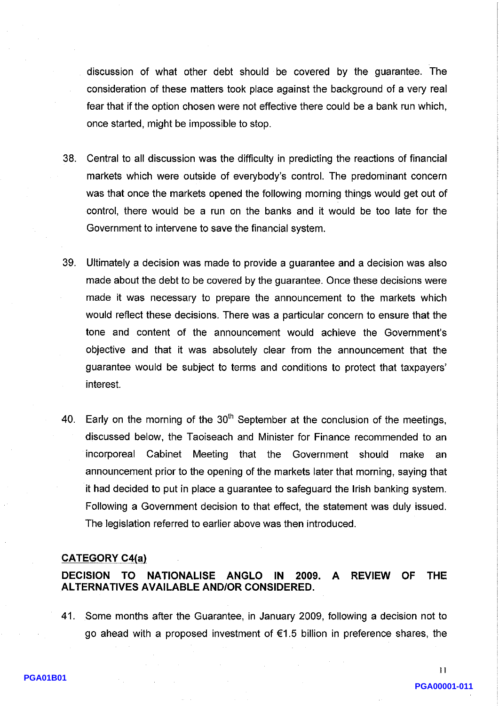discussion of what other debt should be covered by the guarantee. The consideration of these matters took place against the background of a very real fear that if the option chosen were not effective there could be a bank run which, once started, might be impossible to stop.

- 38. Central to all discussion was the difficulty in predicting the reactions of financial markets which were outside of everybody's control. The predominant concern was that once the markets opened the following morning things would get out of control, there would be a run on the banks and it would be too late for the Government to intervene to save the financial system.
- 39. Ultimately a decision was made to provide a guarantee and a decision was also made about the debt to be covered by the guarantee. Once these decisions were made it was necessary to prepare the announcement to the markets which would reflect these decisions. There was a particular concern to ensure that the tone and content of the announcement would achieve the Government's objective and that it was absolutely clear from the announcement that the guarantee would be subject to terms and conditions to protect that taxpayers' interest.
- Early on the morning of the  $30<sup>th</sup>$  September at the conclusion of the meetings. 40. discussed below, the Taoiseach and Minister for Finance recommended to an incorporeal Cabinet Meeting that the Government should make an announcement prior to the opening of the markets later that morning, saying that it had decided to put in place a guarantee to safeguard the Irish banking system. Following a Government decision to that effect, the statement was duly issued. The legislation referred to earlier above was then introduced.

## **CATEGORY C4(a)**

#### DECISION TO NATIONALISE ANGLO 2009. A **REVIEW OF THE** IN. **ALTERNATIVES AVAILABLE AND/OR CONSIDERED.**

41. Some months after the Guarantee, in January 2009, following a decision not to go ahead with a proposed investment of  $\epsilon$ 1.5 billion in preference shares, the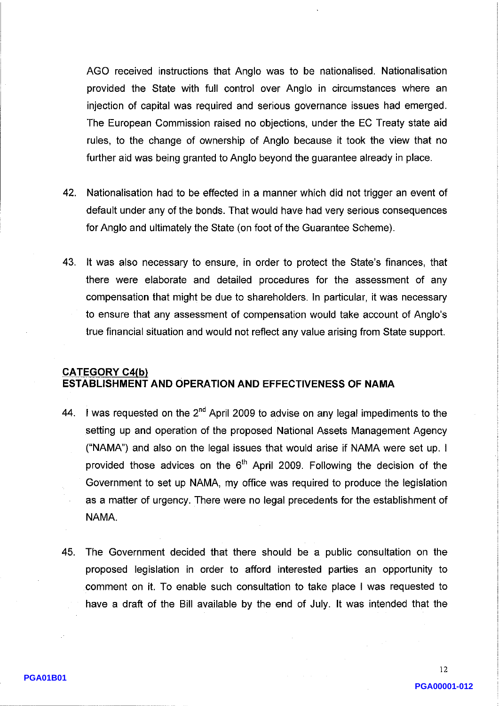AGO received instructions that Anglo was to be nationalised. Nationalisation provided the State with full control over Anglo in circumstances where an injection of capital was required and serious governance issues had emerged. The European Commission raised no objections, under the EC Treaty state aid rules, to the change of ownership of Anglo because it took the view that no further aid was being granted to Anglo beyond the guarantee already in place.

- 42. Nationalisation had to be effected in a manner which did not trigger an event of default under any of the bonds. That would have had very serious consequences for Anglo and ultimately the State (on foot of the Guarantee Scheme).
- 43. It was also necessary to ensure, in order to protect the State's finances, that there were elaborate and detailed procedures for the assessment of any compensation that might be due to shareholders. In particular, it was necessary to ensure that any assessment of compensation would take account of Anglo's true financial situation and would not reflect any value arising from State support.

# **CATEGORY C4(b)** ESTABLISHMENT AND OPERATION AND EFFECTIVENESS OF NAMA

- 44. I was requested on the  $2^{nd}$  April 2009 to advise on any legal impediments to the setting up and operation of the proposed National Assets Management Agency ("NAMA") and also on the legal issues that would arise if NAMA were set up. I provided those advices on the  $6<sup>th</sup>$  April 2009. Following the decision of the Government to set up NAMA, my office was required to produce the legislation as a matter of urgency. There were no legal precedents for the establishment of NAMA.
- 45. The Government decided that there should be a public consultation on the proposed legislation in order to afford interested parties an opportunity to comment on it. To enable such consultation to take place I was requested to have a draft of the Bill available by the end of July. It was intended that the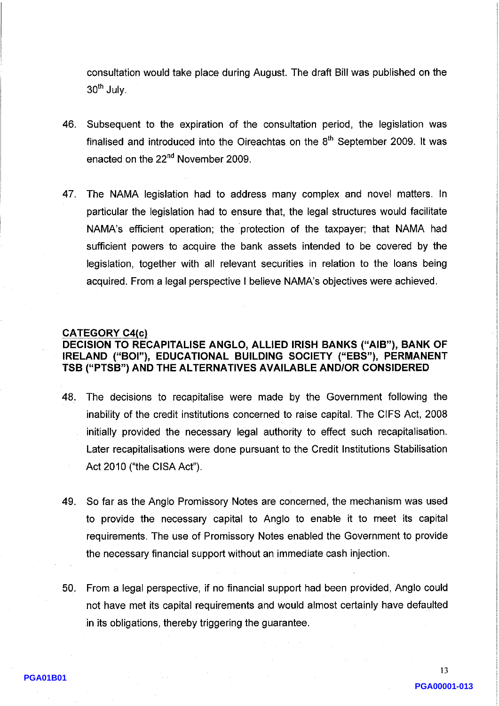consultation would take place during August. The draft Bill was published on the 30<sup>th</sup> July.

- Subsequent to the expiration of the consultation period, the legislation was 46. finalised and introduced into the Oireachtas on the 8<sup>th</sup> September 2009. It was enacted on the 22<sup>nd</sup> November 2009.
- 47 The NAMA legislation had to address many complex and novel matters. In particular the legislation had to ensure that, the legal structures would facilitate NAMA's efficient operation; the protection of the taxpayer; that NAMA had sufficient powers to acquire the bank assets intended to be covered by the legislation, together with all relevant securities in relation to the loans being acquired. From a legal perspective I believe NAMA's objectives were achieved.

#### **CATEGORY C4(c)**

# DECISION TO RECAPITALISE ANGLO, ALLIED IRISH BANKS ("AIB"), BANK OF IRELAND ("BOI"), EDUCATIONAL BUILDING SOCIETY ("EBS"), PERMANENT TSB ("PTSB") AND THE ALTERNATIVES AVAILABLE AND/OR CONSIDERED

- 48. The decisions to recapitalise were made by the Government following the inability of the credit institutions concerned to raise capital. The CIFS Act, 2008 initially provided the necessary legal authority to effect such recapitalisation. Later recapitalisations were done pursuant to the Credit Institutions Stabilisation Act 2010 ("the CISA Act").
- 49. So far as the Anglo Promissory Notes are concerned, the mechanism was used to provide the necessary capital to Anglo to enable it to meet its capital requirements. The use of Promissory Notes enabled the Government to provide the necessary financial support without an immediate cash injection.
- 50. From a legal perspective, if no financial support had been provided, Anglo could not have met its capital requirements and would almost certainly have defaulted in its obligations, thereby triggering the guarantee.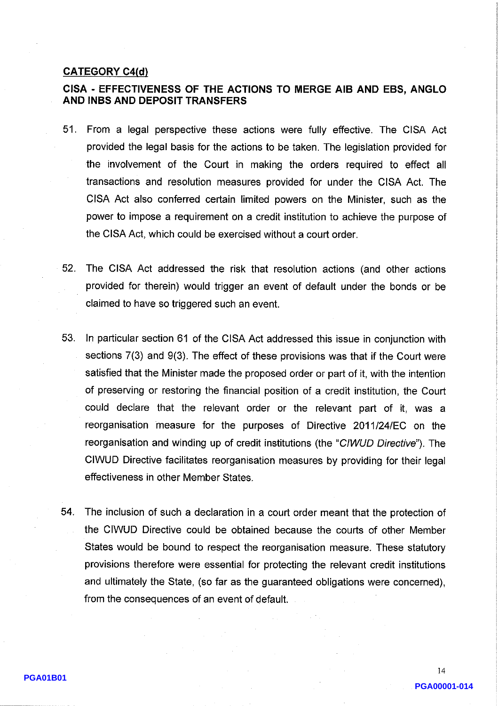## **CATEGORY C4(d)**

# CISA - EFFECTIVENESS OF THE ACTIONS TO MERGE AIB AND EBS, ANGLO AND INBS AND DEPOSIT TRANSFERS

- 51. From a legal perspective these actions were fully effective. The CISA Act provided the legal basis for the actions to be taken. The legislation provided for the involvement of the Court in making the orders required to effect all transactions and resolution measures provided for under the CISA Act. The CISA Act also conferred certain limited powers on the Minister, such as the power to impose a requirement on a credit institution to achieve the purpose of the CISA Act, which could be exercised without a court order.
- $52.$ The CISA Act addressed the risk that resolution actions (and other actions provided for therein) would trigger an event of default under the bonds or be claimed to have so triggered such an event.
- 53. In particular section 61 of the CISA Act addressed this issue in conjunction with sections 7(3) and 9(3). The effect of these provisions was that if the Court were satisfied that the Minister made the proposed order or part of it, with the intention of preserving or restoring the financial position of a credit institution, the Court could declare that the relevant order or the relevant part of it, was a reorganisation measure for the purposes of Directive 2011/24/EC on the reorganisation and winding up of credit institutions (the "CIWUD Directive"). The CIWUD Directive facilitates reorganisation measures by providing for their legal effectiveness in other Member States.
- 54. The inclusion of such a declaration in a court order meant that the protection of the CIWUD Directive could be obtained because the courts of other Member States would be bound to respect the reorganisation measure. These statutory provisions therefore were essential for protecting the relevant credit institutions and ultimately the State, (so far as the guaranteed obligations were concerned), from the consequences of an event of default.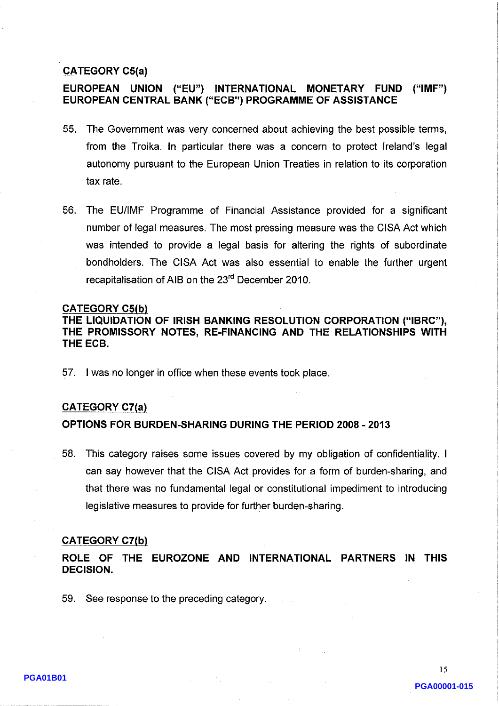## **CATEGORY C5(a)**

#### EUROPEAN UNION ("EU") INTERNATIONAL MONETARY FUND  $(''IMF")$ EUROPEAN CENTRAL BANK ("ECB") PROGRAMME OF ASSISTANCE

- 55. The Government was very concerned about achieving the best possible terms, from the Troika. In particular there was a concern to protect Ireland's legal autonomy pursuant to the European Union Treaties in relation to its corporation tax rate.
- 56. The EU/IMF Programme of Financial Assistance provided for a significant number of legal measures. The most pressing measure was the CISA Act which was intended to provide a legal basis for altering the rights of subordinate bondholders. The CISA Act was also essential to enable the further urgent recapitalisation of AIB on the 23<sup>rd</sup> December 2010.

### **CATEGORY C5(b)**

THE LIQUIDATION OF IRISH BANKING RESOLUTION CORPORATION ("IBRC"), THE PROMISSORY NOTES, RE-FINANCING AND THE RELATIONSHIPS WITH THE ECB.

57. I was no longer in office when these events took place.

## **CATEGORY C7(a)**

# OPTIONS FOR BURDEN-SHARING DURING THE PERIOD 2008 - 2013

58. This category raises some issues covered by my obligation of confidentiality. I can say however that the CISA Act provides for a form of burden-sharing, and that there was no fundamental legal or constitutional impediment to introducing legislative measures to provide for further burden-sharing.

#### **CATEGORY C7(b)**

ROLE OF THE EUROZONE AND INTERNATIONAL PARTNERS IN THIS **DECISION.** 

59. See response to the preceding category.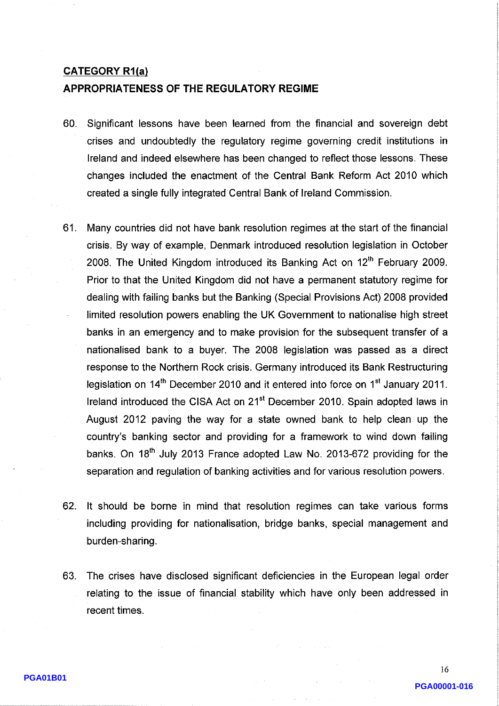### **CATEGORY R1(a)**

# APPROPRIATENESS OF THE REGULATORY REGIME

- 60. Significant lessons have been learned from the financial and sovereign debt crises and undoubtedly the regulatory regime governing credit institutions in Ireland and indeed elsewhere has been changed to reflect those lessons. These changes included the enactment of the Central Bank Reform Act 2010 which created a single fully integrated Central Bank of Ireland Commission.
- 61. Many countries did not have bank resolution regimes at the start of the financial crisis. By way of example, Denmark introduced resolution legislation in October 2008. The United Kingdom introduced its Banking Act on 12<sup>th</sup> February 2009. Prior to that the United Kingdom did not have a permanent statutory regime for dealing with failing banks but the Banking (Special Provisions Act) 2008 provided limited resolution powers enabling the UK Government to nationalise high street banks in an emergency and to make provision for the subsequent transfer of a nationalised bank to a buyer. The 2008 legislation was passed as a direct response to the Northern Rock crisis. Germany introduced its Bank Restructuring legislation on 14<sup>th</sup> December 2010 and it entered into force on 1<sup>st</sup> January 2011. Ireland introduced the CISA Act on 21<sup>st</sup> December 2010. Spain adopted laws in August 2012 paving the way for a state owned bank to help clean up the country's banking sector and providing for a framework to wind down failing banks. On 18<sup>th</sup> July 2013 France adopted Law No. 2013-672 providing for the separation and regulation of banking activities and for various resolution powers.
- 62. It should be borne in mind that resolution regimes can take various forms including providing for nationalisation, bridge banks, special management and burden-sharing.
- 63. The crises have disclosed significant deficiencies in the European legal order relating to the issue of financial stability which have only been addressed in recent times.

16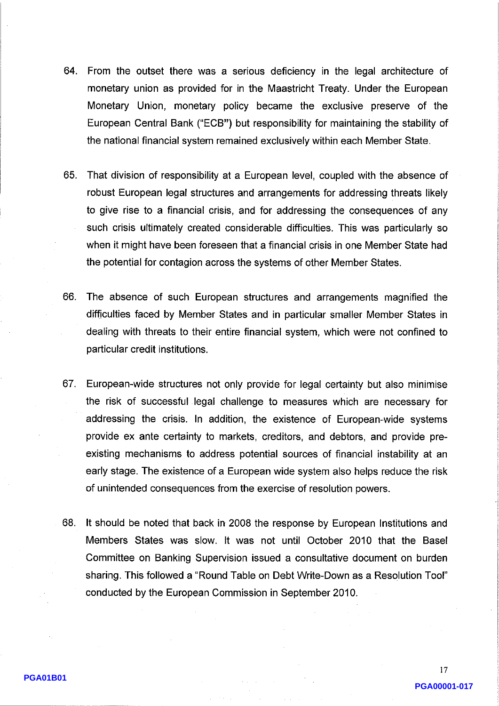- 64. From the outset there was a serious deficiency in the legal architecture of monetary union as provided for in the Maastricht Treaty. Under the European Monetary Union, monetary policy became the exclusive preserve of the European Central Bank ("ECB") but responsibility for maintaining the stability of the national financial system remained exclusively within each Member State.
- 65. That division of responsibility at a European level, coupled with the absence of robust European legal structures and arrangements for addressing threats likely to give rise to a financial crisis, and for addressing the consequences of any such crisis ultimately created considerable difficulties. This was particularly so when it might have been foreseen that a financial crisis in one Member State had the potential for contagion across the systems of other Member States.
- 66. The absence of such European structures and arrangements magnified the difficulties faced by Member States and in particular smaller Member States in dealing with threats to their entire financial system, which were not confined to particular credit institutions.
- 67. European-wide structures not only provide for legal certainty but also minimise the risk of successful legal challenge to measures which are necessary for addressing the crisis. In addition, the existence of European-wide systems provide ex ante certainty to markets, creditors, and debtors, and provide preexisting mechanisms to address potential sources of financial instability at an early stage. The existence of a European wide system also helps reduce the risk of unintended consequences from the exercise of resolution powers.
- 68. It should be noted that back in 2008 the response by European Institutions and Members States was slow. It was not until October 2010 that the Basel Committee on Banking Supervision issued a consultative document on burden sharing. This followed a "Round Table on Debt Write-Down as a Resolution Tool" conducted by the European Commission in September 2010.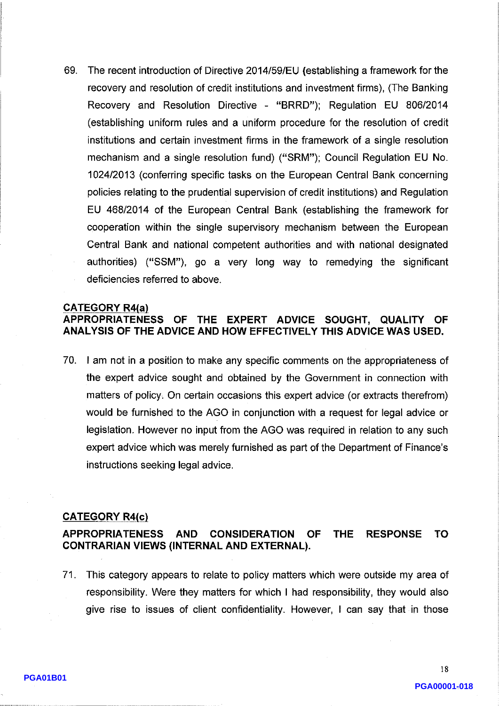69. The recent introduction of Directive 2014/59/EU (establishing a framework for the recovery and resolution of credit institutions and investment firms), (The Banking Recovery and Resolution Directive - "BRRD"); Regulation EU 806/2014 (establishing uniform rules and a uniform procedure for the resolution of credit institutions and certain investment firms in the framework of a single resolution mechanism and a single resolution fund) ("SRM"); Council Regulation EU No. 1024/2013 (conferring specific tasks on the European Central Bank concerning policies relating to the prudential supervision of credit institutions) and Regulation EU 468/2014 of the European Central Bank (establishing the framework for cooperation within the single supervisory mechanism between the European Central Bank and national competent authorities and with national designated authorities) ("SSM"), go a very long way to remedying the significant deficiencies referred to above.

# **CATEGORY R4(a)** APPROPRIATENESS OF THE EXPERT ADVICE SOUGHT, QUALITY OF ANALYSIS OF THE ADVICE AND HOW EFFECTIVELY THIS ADVICE WAS USED.

70. I am not in a position to make any specific comments on the appropriateness of the expert advice sought and obtained by the Government in connection with matters of policy. On certain occasions this expert advice (or extracts therefrom) would be furnished to the AGO in conjunction with a request for legal advice or legislation. However no input from the AGO was required in relation to any such expert advice which was merely furnished as part of the Department of Finance's instructions seeking legal advice.

### **CATEGORY R4(c)**

#### **APPROPRIATENESS AND CONSIDERATION OF THE RESPONSE TO CONTRARIAN VIEWS (INTERNAL AND EXTERNAL).**

71. This category appears to relate to policy matters which were outside my area of responsibility. Were they matters for which I had responsibility, they would also give rise to issues of client confidentiality. However, I can say that in those